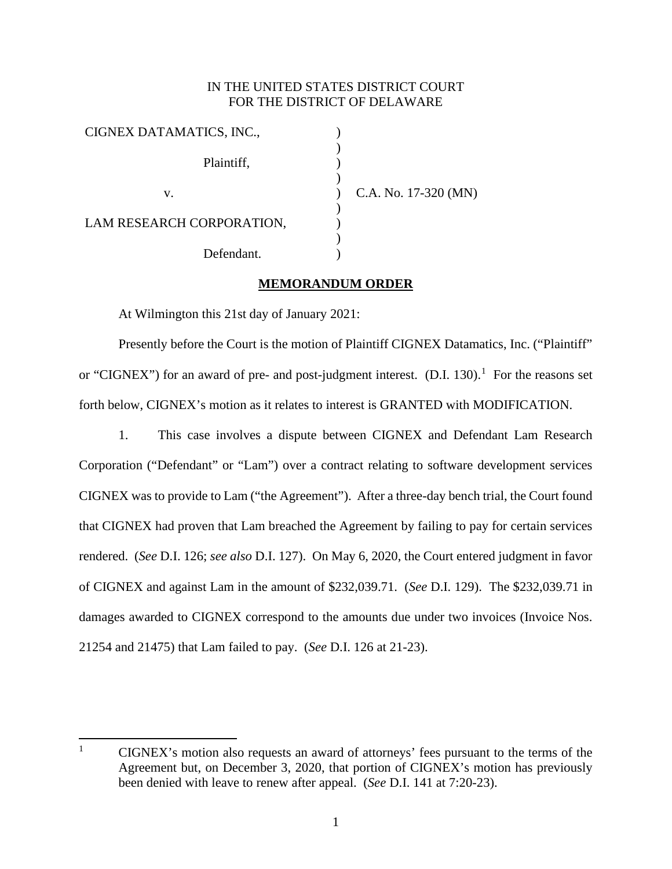## IN THE UNITED STATES DISTRICT COURT FOR THE DISTRICT OF DELAWARE

) )  $\sum_{i=1}^{n}$ ) ) ) ) ) )

| CIGNEX DATAMATICS, INC.,  |
|---------------------------|
| Plaintiff,                |
| V.                        |
| LAM RESEARCH CORPORATION, |
| Defendant.                |

C.A. No. 17-320 (MN)

## **MEMORANDUM ORDER**

At Wilmington this 21st day of January 2021:

Presently before the Court is the motion of Plaintiff CIGNEX Datamatics, Inc. ("Plaintiff" or "CIGNEX") for an award of pre- and post-judgment interest.  $(D.I. 130).$  $(D.I. 130).$  $(D.I. 130).$ <sup>1</sup> For the reasons set forth below, CIGNEX's motion as it relates to interest is GRANTED with MODIFICATION.

1. This case involves a dispute between CIGNEX and Defendant Lam Research Corporation ("Defendant" or "Lam") over a contract relating to software development services CIGNEX was to provide to Lam ("the Agreement"). After a three-day bench trial, the Court found that CIGNEX had proven that Lam breached the Agreement by failing to pay for certain services rendered. (*See* D.I. 126; *see also* D.I. 127). On May 6, 2020, the Court entered judgment in favor of CIGNEX and against Lam in the amount of \$232,039.71. (*See* D.I. 129). The \$232,039.71 in damages awarded to CIGNEX correspond to the amounts due under two invoices (Invoice Nos. 21254 and 21475) that Lam failed to pay. (*See* D.I. 126 at 21-23).

<span id="page-0-0"></span><sup>&</sup>lt;sup>1</sup> CIGNEX's motion also requests an award of attorneys' fees pursuant to the terms of the Agreement but, on December 3, 2020, that portion of CIGNEX's motion has previously been denied with leave to renew after appeal. (*See* D.I. 141 at 7:20-23).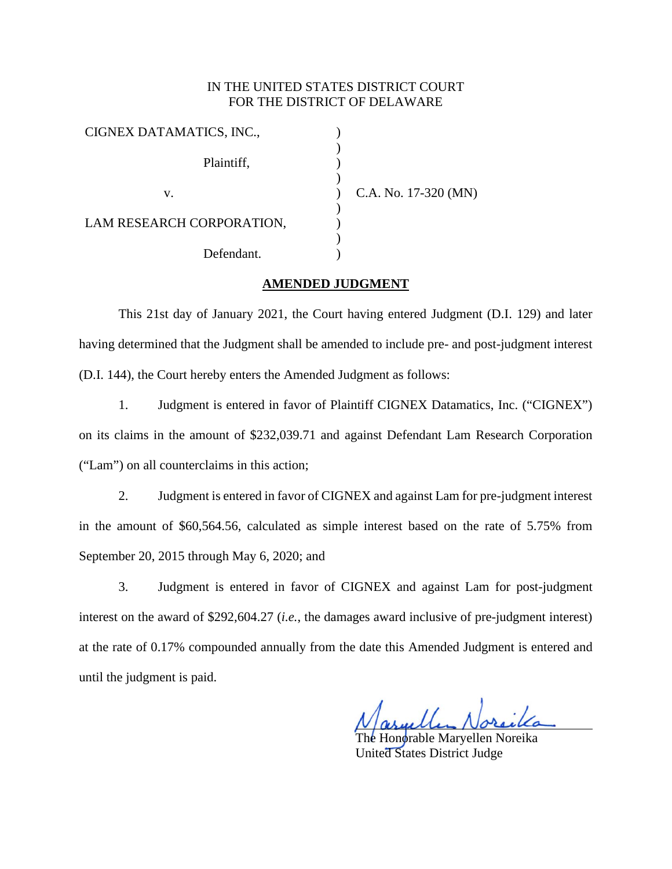## IN THE UNITED STATES DISTRICT COURT FOR THE DISTRICT OF DELAWARE

| CIGNEX DATAMATICS, INC.,  |  |
|---------------------------|--|
| Plaintiff,                |  |
| V.                        |  |
| LAM RESEARCH CORPORATION, |  |
| Defendant.                |  |

C.A. No. 17-320 (MN)

## **AMENDED JUDGMENT**

This 21st day of January 2021, the Court having entered Judgment (D.I. 129) and later having determined that the Judgment shall be amended to include pre- and post-judgment interest (D.I. 144), the Court hereby enters the Amended Judgment as follows:

1. Judgment is entered in favor of Plaintiff CIGNEX Datamatics, Inc. ("CIGNEX") on its claims in the amount of \$232,039.71 and against Defendant Lam Research Corporation ("Lam") on all counterclaims in this action;

2. Judgment is entered in favor of CIGNEX and against Lam for pre-judgment interest in the amount of \$60,564.56, calculated as simple interest based on the rate of 5.75% from September 20, 2015 through May 6, 2020; and

3. Judgment is entered in favor of CIGNEX and against Lam for post-judgment interest on the award of \$292,604.27 (*i.e.*, the damages award inclusive of pre-judgment interest) at the rate of 0.17% compounded annually from the date this Amended Judgment is entered and until the judgment is paid.

Honorable Marvellen Noreika United States District Judge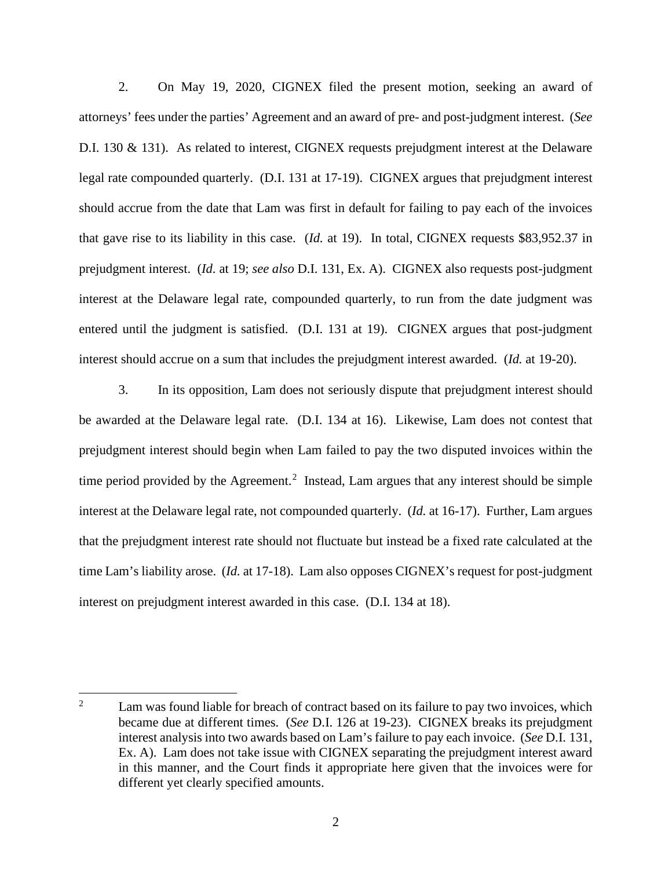2. On May 19, 2020, CIGNEX filed the present motion, seeking an award of attorneys' fees under the parties' Agreement and an award of pre- and post-judgment interest. (*See* D.I. 130 & 131). As related to interest, CIGNEX requests prejudgment interest at the Delaware legal rate compounded quarterly. (D.I. 131 at 17-19). CIGNEX argues that prejudgment interest should accrue from the date that Lam was first in default for failing to pay each of the invoices that gave rise to its liability in this case. (*Id.* at 19). In total, CIGNEX requests \$83,952.37 in prejudgment interest. (*Id.* at 19; *see also* D.I. 131, Ex. A). CIGNEX also requests post-judgment interest at the Delaware legal rate, compounded quarterly, to run from the date judgment was entered until the judgment is satisfied. (D.I. 131 at 19). CIGNEX argues that post-judgment interest should accrue on a sum that includes the prejudgment interest awarded. (*Id.* at 19-20).

3. In its opposition, Lam does not seriously dispute that prejudgment interest should be awarded at the Delaware legal rate. (D.I. 134 at 16). Likewise, Lam does not contest that prejudgment interest should begin when Lam failed to pay the two disputed invoices within the time period provided by the Agreement.<sup>[2](#page-2-0)</sup> Instead, Lam argues that any interest should be simple interest at the Delaware legal rate, not compounded quarterly. (*Id.* at 16-17). Further, Lam argues that the prejudgment interest rate should not fluctuate but instead be a fixed rate calculated at the time Lam's liability arose. (*Id.* at 17-18). Lam also opposes CIGNEX's request for post-judgment interest on prejudgment interest awarded in this case. (D.I. 134 at 18).

<span id="page-2-0"></span><sup>&</sup>lt;sup>2</sup> Lam was found liable for breach of contract based on its failure to pay two invoices, which became due at different times. (*See* D.I. 126 at 19-23). CIGNEX breaks its prejudgment interest analysis into two awards based on Lam's failure to pay each invoice. (*See* D.I. 131, Ex. A). Lam does not take issue with CIGNEX separating the prejudgment interest award in this manner, and the Court finds it appropriate here given that the invoices were for different yet clearly specified amounts.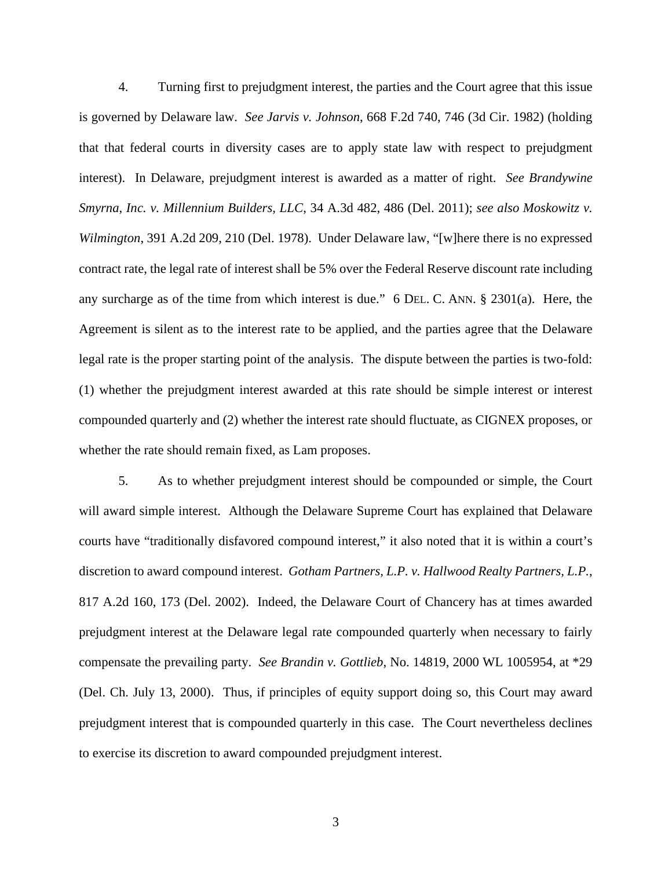4. Turning first to prejudgment interest, the parties and the Court agree that this issue is governed by Delaware law. *See Jarvis v. Johnson*, 668 F.2d 740, 746 (3d Cir. 1982) (holding that that federal courts in diversity cases are to apply state law with respect to prejudgment interest). In Delaware, prejudgment interest is awarded as a matter of right. *See Brandywine Smyrna, Inc. v. Millennium Builders, LLC*, 34 A.3d 482, 486 (Del. 2011); *see also Moskowitz v. Wilmington*, 391 A.2d 209, 210 (Del. 1978). Under Delaware law, "[w]here there is no expressed contract rate, the legal rate of interest shall be 5% over the Federal Reserve discount rate including any surcharge as of the time from which interest is due." 6 DEL. C. ANN. § 2301(a). Here, the Agreement is silent as to the interest rate to be applied, and the parties agree that the Delaware legal rate is the proper starting point of the analysis. The dispute between the parties is two-fold: (1) whether the prejudgment interest awarded at this rate should be simple interest or interest compounded quarterly and (2) whether the interest rate should fluctuate, as CIGNEX proposes, or whether the rate should remain fixed, as Lam proposes.

5. As to whether prejudgment interest should be compounded or simple, the Court will award simple interest. Although the Delaware Supreme Court has explained that Delaware courts have "traditionally disfavored compound interest," it also noted that it is within a court's discretion to award compound interest. *Gotham Partners, L.P. v. Hallwood Realty Partners, L.P.*, 817 A.2d 160, 173 (Del. 2002). Indeed, the Delaware Court of Chancery has at times awarded prejudgment interest at the Delaware legal rate compounded quarterly when necessary to fairly compensate the prevailing party. *See Brandin v. Gottlieb*, No. 14819, 2000 WL 1005954, at \*29 (Del. Ch. July 13, 2000). Thus, if principles of equity support doing so, this Court may award prejudgment interest that is compounded quarterly in this case. The Court nevertheless declines to exercise its discretion to award compounded prejudgment interest.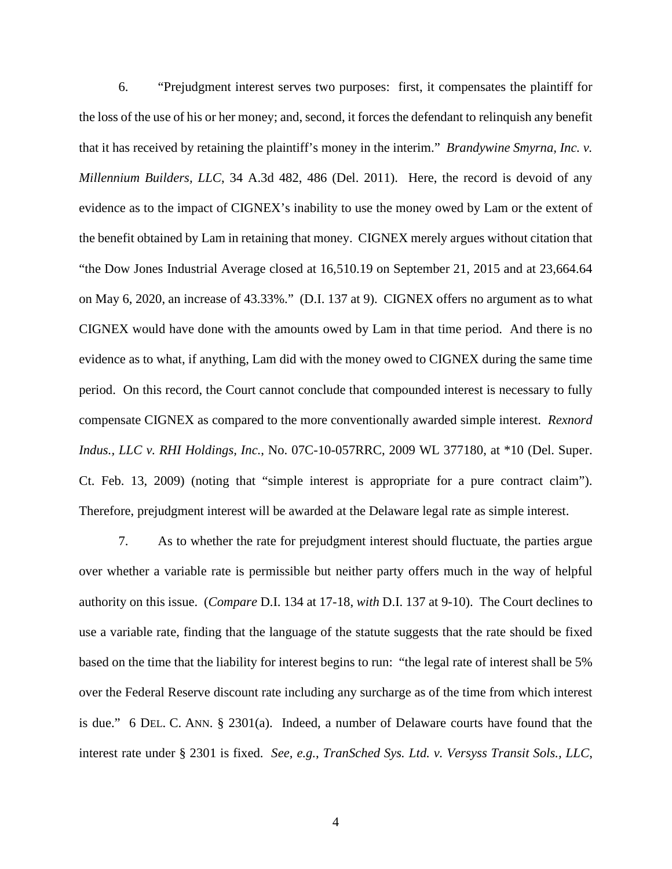6. "Prejudgment interest serves two purposes: first, it compensates the plaintiff for the loss of the use of his or her money; and, second, it forces the defendant to relinquish any benefit that it has received by retaining the plaintiff's money in the interim." *Brandywine Smyrna, Inc. v. Millennium Builders, LLC*, 34 A.3d 482, 486 (Del. 2011). Here, the record is devoid of any evidence as to the impact of CIGNEX's inability to use the money owed by Lam or the extent of the benefit obtained by Lam in retaining that money. CIGNEX merely argues without citation that "the Dow Jones Industrial Average closed at 16,510.19 on September 21, 2015 and at 23,664.64 on May 6, 2020, an increase of 43.33%." (D.I. 137 at 9). CIGNEX offers no argument as to what CIGNEX would have done with the amounts owed by Lam in that time period. And there is no evidence as to what, if anything, Lam did with the money owed to CIGNEX during the same time period. On this record, the Court cannot conclude that compounded interest is necessary to fully compensate CIGNEX as compared to the more conventionally awarded simple interest. *Rexnord Indus., LLC v. RHI Holdings, Inc.*, No. 07C-10-057RRC, 2009 WL 377180, at \*10 (Del. Super. Ct. Feb. 13, 2009) (noting that "simple interest is appropriate for a pure contract claim"). Therefore, prejudgment interest will be awarded at the Delaware legal rate as simple interest.

7. As to whether the rate for prejudgment interest should fluctuate, the parties argue over whether a variable rate is permissible but neither party offers much in the way of helpful authority on this issue. (*Compare* D.I. 134 at 17-18, *with* D.I. 137 at 9-10). The Court declines to use a variable rate, finding that the language of the statute suggests that the rate should be fixed based on the time that the liability for interest begins to run: "the legal rate of interest shall be 5% over the Federal Reserve discount rate including any surcharge as of the time from which interest is due." 6 DEL. C. ANN. § 2301(a). Indeed, a number of Delaware courts have found that the interest rate under § 2301 is fixed. *See, e.g.*, *TranSched Sys. Ltd. v. Versyss Transit Sols., LLC*,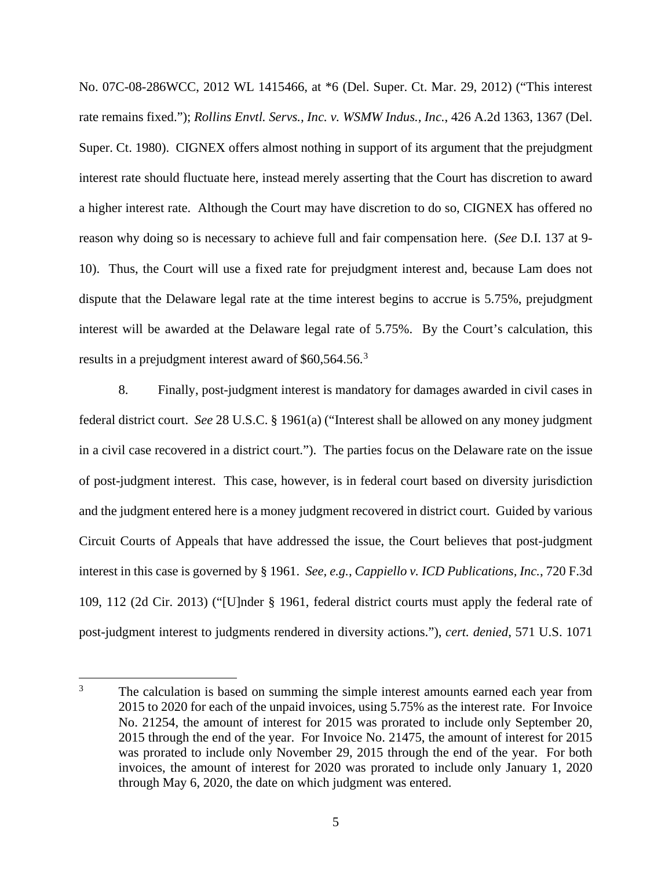No. 07C-08-286WCC, 2012 WL 1415466, at \*6 (Del. Super. Ct. Mar. 29, 2012) ("This interest rate remains fixed."); *Rollins Envtl. Servs., Inc. v. WSMW Indus., Inc.*, 426 A.2d 1363, 1367 (Del. Super. Ct. 1980). CIGNEX offers almost nothing in support of its argument that the prejudgment interest rate should fluctuate here, instead merely asserting that the Court has discretion to award a higher interest rate. Although the Court may have discretion to do so, CIGNEX has offered no reason why doing so is necessary to achieve full and fair compensation here. (*See* D.I. 137 at 9- 10). Thus, the Court will use a fixed rate for prejudgment interest and, because Lam does not dispute that the Delaware legal rate at the time interest begins to accrue is 5.75%, prejudgment interest will be awarded at the Delaware legal rate of 5.75%. By the Court's calculation, this results in a prejudgment interest award of \$60,564.56.<sup>[3](#page-5-0)</sup>

8. Finally, post-judgment interest is mandatory for damages awarded in civil cases in federal district court. *See* 28 U.S.C. § 1961(a) ("Interest shall be allowed on any money judgment in a civil case recovered in a district court."). The parties focus on the Delaware rate on the issue of post-judgment interest. This case, however, is in federal court based on diversity jurisdiction and the judgment entered here is a money judgment recovered in district court. Guided by various Circuit Courts of Appeals that have addressed the issue, the Court believes that post-judgment interest in this case is governed by § 1961. *See, e.g.*, *Cappiello v. ICD Publications, Inc.*, 720 F.3d 109, 112 (2d Cir. 2013) ("[U]nder § 1961, federal district courts must apply the federal rate of post-judgment interest to judgments rendered in diversity actions."), *cert. denied*, 571 U.S. 1071

<span id="page-5-0"></span><sup>&</sup>lt;sup>3</sup> The calculation is based on summing the simple interest amounts earned each year from 2015 to 2020 for each of the unpaid invoices, using 5.75% as the interest rate. For Invoice No. 21254, the amount of interest for 2015 was prorated to include only September 20, 2015 through the end of the year. For Invoice No. 21475, the amount of interest for 2015 was prorated to include only November 29, 2015 through the end of the year. For both invoices, the amount of interest for 2020 was prorated to include only January 1, 2020 through May 6, 2020, the date on which judgment was entered.